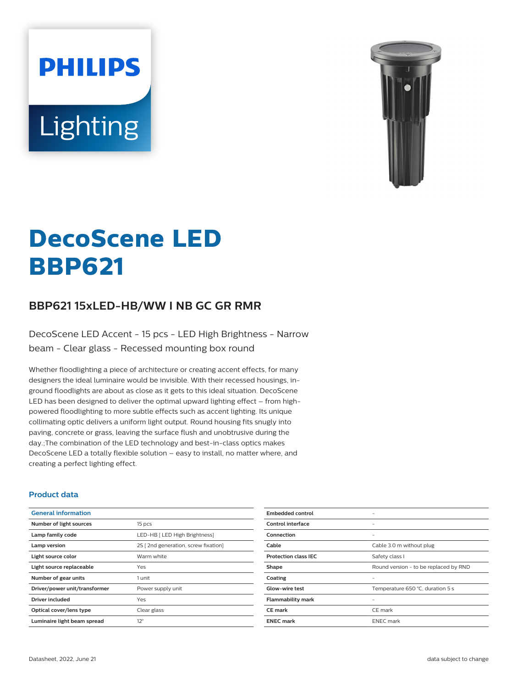# **PHILIPS** Lighting



# **DecoScene LED BBP621**

# **BBP621 15xLED-HB/WW I NB GC GR RMR**

DecoScene LED Accent - 15 pcs - LED High Brightness - Narrow beam - Clear glass - Recessed mounting box round

Whether floodlighting a piece of architecture or creating accent effects, for many designers the ideal luminaire would be invisible. With their recessed housings, inground floodlights are about as close as it gets to this ideal situation. DecoScene LED has been designed to deliver the optimal upward lighting effect – from highpowered floodlighting to more subtle effects such as accent lighting. Its unique collimating optic delivers a uniform light output. Round housing fits snugly into paving, concrete or grass, leaving the surface flush and unobtrusive during the day.;The combination of the LED technology and best-in-class optics makes DecoScene LED a totally flexible solution – easy to install, no matter where, and creating a perfect lighting effect.

#### **Product data**

| <b>General information</b>    |                                     |
|-------------------------------|-------------------------------------|
| Number of light sources       | 15 pcs                              |
| Lamp family code              | LED-HB [ LED High Brightness]       |
| Lamp version                  | 2S [2nd generation, screw fixation] |
| Light source color            | Warm white                          |
| Light source replaceable      | Yes                                 |
| Number of gear units          | 1 unit                              |
| Driver/power unit/transformer | Power supply unit                   |
| Driver included               | Yes                                 |
| Optical cover/lens type       | Clear glass                         |
| Luminaire light beam spread   | $12^{\circ}$                        |

| <b>Embedded control</b>     |                                       |
|-----------------------------|---------------------------------------|
| Control interface           |                                       |
| Connection                  | -                                     |
| Cable                       | Cable 3.0 m without plug              |
| <b>Protection class IEC</b> | Safety class I                        |
| Shape                       | Round version - to be replaced by RND |
| Coating                     |                                       |
| <b>Glow-wire test</b>       | Temperature 650 °C, duration 5 s      |
| <b>Flammability mark</b>    |                                       |
| CE mark                     | CE mark                               |
| <b>ENEC mark</b>            | <b>ENEC</b> mark                      |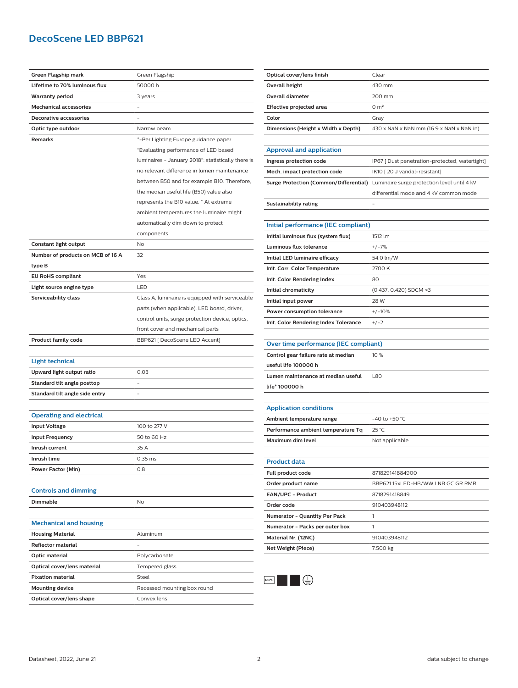## **DecoScene LED BBP621**

| Green Flagship mark               | Green Flagship                                     | Optical cover/                                                       |
|-----------------------------------|----------------------------------------------------|----------------------------------------------------------------------|
| Lifetime to 70% luminous flux     | 50000 h                                            | <b>Overall height</b>                                                |
| <b>Warranty period</b>            | 3 years                                            | Overall diamet                                                       |
| <b>Mechanical accessories</b>     |                                                    | <b>Effective proje</b>                                               |
| <b>Decorative accessories</b>     |                                                    | Color                                                                |
| Optic type outdoor                | Narrow beam                                        | <b>Dimensions (H</b>                                                 |
| Remarks                           | *-Per Lighting Europe guidance paper               |                                                                      |
|                                   | "Evaluating performance of LED based               | Approval an                                                          |
|                                   | luminaires - January 2018": statistically there is | Ingress protec                                                       |
|                                   | no relevant difference in lumen maintenance        | Mech. impact                                                         |
|                                   | between B50 and for example B10. Therefore,        | <b>Surge Protecti</b>                                                |
|                                   | the median useful life (B50) value also            |                                                                      |
|                                   | represents the B10 value. * At extreme             | Sustainability                                                       |
|                                   | ambient temperatures the luminaire might           |                                                                      |
|                                   | automatically dim down to protect                  | Initial perfor                                                       |
|                                   | components                                         | <b>Initial luminou</b>                                               |
| Constant light output             | No                                                 | Luminous flux                                                        |
| Number of products on MCB of 16 A | 32                                                 | Initial LED lum                                                      |
| type B                            |                                                    | Init. Corr. Colo                                                     |
| <b>EU RoHS compliant</b>          | Yes                                                | Init. Color Ren                                                      |
| Light source engine type          | LED                                                | Initial chromat                                                      |
| Serviceability class              | Class A, luminaire is equipped with serviceable    | Initial input po                                                     |
|                                   | parts (when applicable): LED board, driver,        | Power consum                                                         |
|                                   | control units, surge protection device, optics,    | Init. Color Ren                                                      |
|                                   |                                                    |                                                                      |
|                                   | front cover and mechanical parts                   |                                                                      |
| <b>Product family code</b>        | BBP621 [ DecoScene LED Accent]                     |                                                                      |
|                                   |                                                    | Over time pe                                                         |
| Light technical                   |                                                    |                                                                      |
| Upward light output ratio         | 0.03                                               |                                                                      |
| Standard tilt angle posttop       | $\overline{\phantom{0}}$                           |                                                                      |
| Standard tilt angle side entry    |                                                    |                                                                      |
|                                   |                                                    | Control gear fa<br>useful life 100<br>Lumen mainte<br>life* 100000 h |
| <b>Operating and electrical</b>   |                                                    | <b>Application</b><br><b>Ambient temp</b>                            |
| <b>Input Voltage</b>              | 100 to 277 V                                       | Performance a                                                        |
| <b>Input Frequency</b>            | 50 to 60 Hz                                        | Maximum dim                                                          |
| Inrush current                    | 35 A                                               |                                                                      |
| Inrush time                       | 0.35 ms                                            |                                                                      |
| <b>Power Factor (Min)</b>         | 0.8                                                | <b>Product data</b>                                                  |
|                                   |                                                    | Full product co                                                      |
| <b>Controls and dimming</b>       |                                                    | Order product                                                        |
| Dimmable                          | No                                                 | EAN/UPC - Pr                                                         |
|                                   |                                                    | Order code                                                           |
| <b>Mechanical and housing</b>     |                                                    | Numerator - Q                                                        |
| <b>Housing Material</b>           | Aluminum                                           | Numerator - P                                                        |
| <b>Reflector material</b>         | $\overline{\phantom{0}}$                           |                                                                      |
| Optic material                    | Polycarbonate                                      |                                                                      |
| Optical cover/lens material       | Tempered glass                                     |                                                                      |
| <b>Fixation material</b>          | Steel                                              | Material Nr. (1<br>Net Weight (Pi<br>650°C                           |
| <b>Mounting device</b>            | Recessed mounting box round                        |                                                                      |

| Optical cover/lens finish           | Clear                                    |
|-------------------------------------|------------------------------------------|
| Overall height                      | 430 mm                                   |
| Overall diameter                    | 200 mm                                   |
| Effective projected area            | 0 m <sup>2</sup>                         |
| Color                               | Grav                                     |
| Dimensions (Height x Width x Depth) | 430 x NaN x NaN mm (16.9 x NaN x NaN in) |
|                                     |                                          |

| <b>Approval and application</b>     |                                                                                    |
|-------------------------------------|------------------------------------------------------------------------------------|
| Ingress protection code             | IP67 [ Dust penetration-protected, watertight]                                     |
| Mech. impact protection code        | IK10 [20 J vandal-resistant]                                                       |
|                                     | Surge Protection (Common/Differential) Luminaire surge protection level until 4 kV |
|                                     | differential mode and 4 kV common mode                                             |
| Sustainability rating               |                                                                                    |
|                                     |                                                                                    |
| Initial performance (IEC compliant) |                                                                                    |
| Initial luminous flux (system flux) | 1512 lm                                                                            |
| Luminous flux tolerance             | $+/-7%$                                                                            |
| Initial LED luminaire efficacy      | $54.0 \text{ m}$ /W                                                                |

| Initial LED luminaire efficacy        | 54.0 lm/W                |
|---------------------------------------|--------------------------|
| Init. Corr. Color Temperature         | 2700 K                   |
| Init. Color Rendering Index           | 80                       |
| Initial chromaticity                  | $(0.437, 0.420)$ SDCM <3 |
| Initial input power                   | 28 W                     |
| Power consumption tolerance           | $+/-10%$                 |
| Init. Color Rendering Index Tolerance | $+/-2$                   |

| Over time performance (IEC compliant) |        |
|---------------------------------------|--------|
| Control gear failure rate at median   | $10\%$ |
| useful life 100000 h                  |        |
| Lumen maintenance at median useful    | 1.80   |
| life* 100000 h                        |        |

| <b>Application conditions</b>      |                  |
|------------------------------------|------------------|
| Ambient temperature range          | $-40$ to +50 °C. |
| Performance ambient temperature Tq | 25 °C            |
| Maximum dim level                  | Not applicable   |
|                                    |                  |

| <b>Product data</b>                  |                                   |
|--------------------------------------|-----------------------------------|
| Full product code                    | 871829141884900                   |
| Order product name                   | BBP62115xLED-HB/WW I NB GC GR RMR |
| <b>EAN/UPC - Product</b>             | 8718291418849                     |
| Order code                           | 910403948112                      |
| <b>Numerator - Quantity Per Pack</b> |                                   |
| Numerator - Packs per outer box      |                                   |
| Material Nr. (12NC)                  | 910403948112                      |
| Net Weight (Piece)                   | 7.500 kg                          |

 $\bigoplus$